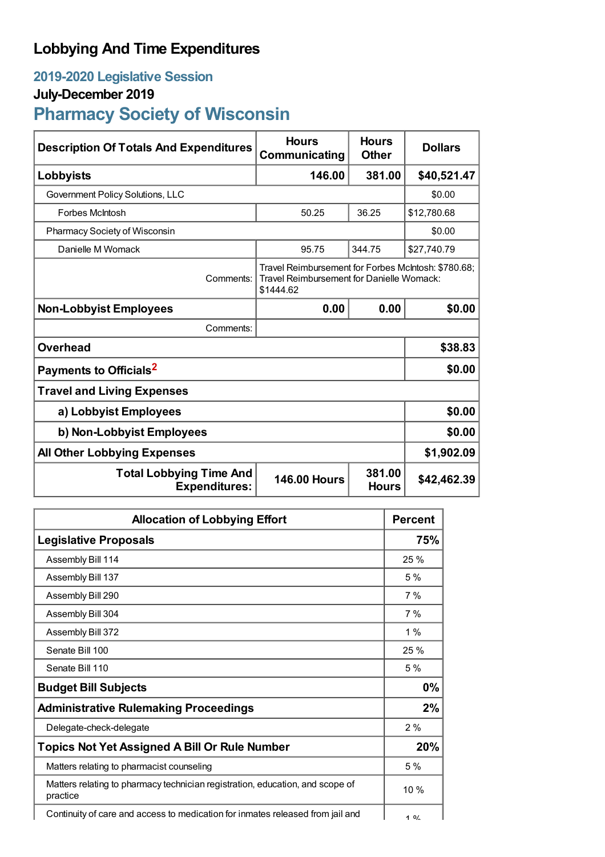## **Lobbying And Time Expenditures**

## **2019-2020 Legislative Session**

## **July-December 2019**

# **Pharmacy Society of Wisconsin**

| <b>Description Of Totals And Expenditures</b>          | <b>Hours</b><br>Communicating                                                                                 | <b>Hours</b><br><b>Other</b> | <b>Dollars</b> |
|--------------------------------------------------------|---------------------------------------------------------------------------------------------------------------|------------------------------|----------------|
| Lobbyists                                              | 146.00                                                                                                        | 381.00                       | \$40,521.47    |
| Government Policy Solutions, LLC                       |                                                                                                               |                              | \$0.00         |
| <b>Forbes McIntosh</b>                                 | 50.25                                                                                                         | 36.25                        | \$12,780.68    |
| Pharmacy Society of Wisconsin                          |                                                                                                               | \$0.00                       |                |
| Danielle M Womack                                      | 95.75                                                                                                         | 344.75                       | \$27,740.79    |
| Comments:                                              | Travel Reimbursement for Forbes McIntosh: \$780.68;<br>Travel Reimbursement for Danielle Womack:<br>\$1444.62 |                              |                |
| <b>Non-Lobbyist Employees</b>                          | 0.00                                                                                                          | 0.00                         | \$0.00         |
| Comments:                                              |                                                                                                               |                              |                |
| <b>Overhead</b>                                        |                                                                                                               |                              | \$38.83        |
| Payments to Officials <sup>2</sup>                     |                                                                                                               |                              | \$0.00         |
| <b>Travel and Living Expenses</b>                      |                                                                                                               |                              |                |
| a) Lobbyist Employees                                  |                                                                                                               |                              | \$0.00         |
| b) Non-Lobbyist Employees                              |                                                                                                               |                              | \$0.00         |
| <b>All Other Lobbying Expenses</b>                     |                                                                                                               |                              | \$1,902.09     |
| <b>Total Lobbying Time And</b><br><b>Expenditures:</b> | <b>146.00 Hours</b>                                                                                           | 381.00<br><b>Hours</b>       | \$42,462.39    |

| <b>Allocation of Lobbying Effort</b>                                                      |        |
|-------------------------------------------------------------------------------------------|--------|
| <b>Legislative Proposals</b>                                                              | 75%    |
| Assembly Bill 114                                                                         | 25%    |
| Assembly Bill 137                                                                         | 5%     |
| Assembly Bill 290                                                                         | 7%     |
| Assembly Bill 304                                                                         | 7%     |
| Assembly Bill 372                                                                         | $1\%$  |
| Senate Bill 100                                                                           | 25%    |
| Senate Bill 110                                                                           | 5%     |
| <b>Budget Bill Subjects</b>                                                               | 0%     |
| <b>Administrative Rulemaking Proceedings</b>                                              | 2%     |
| Delegate-check-delegate                                                                   | 2%     |
| <b>Topics Not Yet Assigned A Bill Or Rule Number</b>                                      | 20%    |
| Matters relating to pharmacist counseling                                                 | 5%     |
| Matters relating to pharmacy technician registration, education, and scope of<br>practice | $10\%$ |
| Continuity of care and access to medication for inmates released from jail and            | 10/    |